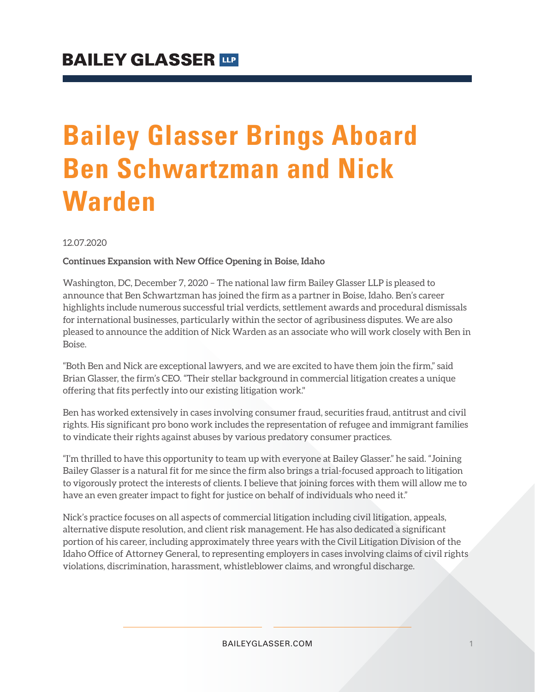# **Bailey Glasser Brings Aboard Ben Schwartzman and Nick Warden**

12.07.2020

#### **Continues Expansion with New Office Opening in Boise, Idaho**

Washington, DC, December 7, 2020 – The national law firm Bailey Glasser LLP is pleased to announce that Ben Schwartzman has joined the firm as a partner in Boise, Idaho. Ben's career highlights include numerous successful trial verdicts, settlement awards and procedural dismissals for international businesses, particularly within the sector of agribusiness disputes. We are also pleased to announce the addition of Nick Warden as an associate who will work closely with Ben in Boise.

"Both Ben and Nick are exceptional lawyers, and we are excited to have them join the firm," said Brian Glasser, the firm's CEO. "Their stellar background in commercial litigation creates a unique offering that fits perfectly into our existing litigation work."

Ben has worked extensively in cases involving consumer fraud, securities fraud, antitrust and civil rights. His significant pro bono work includes the representation of refugee and immigrant families to vindicate their rights against abuses by various predatory consumer practices.

"I'm thrilled to have this opportunity to team up with everyone at Bailey Glasser." he said. "Joining Bailey Glasser is a natural fit for me since the firm also brings a trial-focused approach to litigation to vigorously protect the interests of clients. I believe that joining forces with them will allow me to have an even greater impact to fight for justice on behalf of individuals who need it."

Nick's practice focuses on all aspects of commercial litigation including civil litigation, appeals, alternative dispute resolution, and client risk management. He has also dedicated a significant portion of his career, including approximately three years with the Civil Litigation Division of the Idaho Office of Attorney General, to representing employers in cases involving claims of civil rights violations, discrimination, harassment, whistleblower claims, and wrongful discharge.